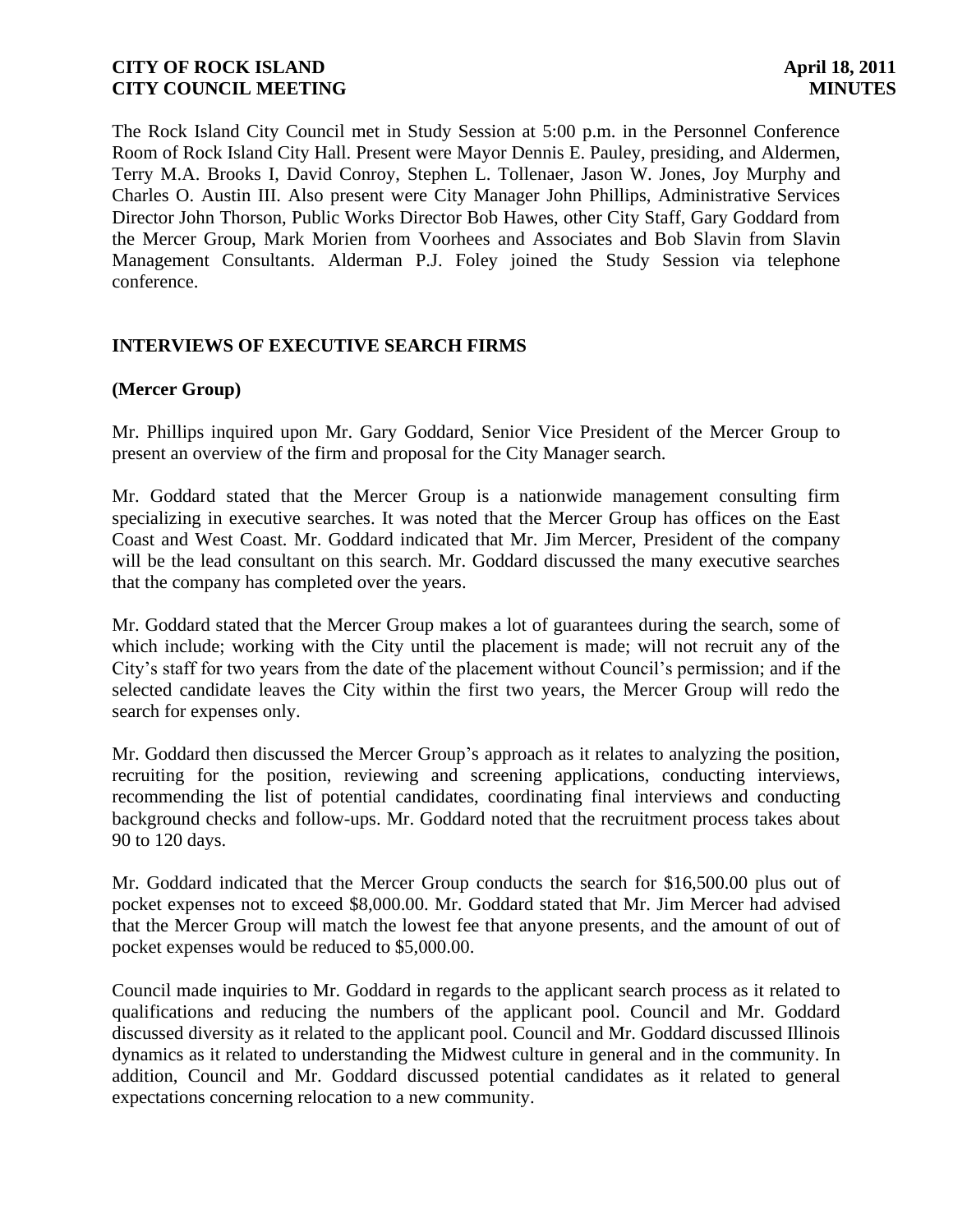The Rock Island City Council met in Study Session at 5:00 p.m. in the Personnel Conference Room of Rock Island City Hall. Present were Mayor Dennis E. Pauley, presiding, and Aldermen, Terry M.A. Brooks I, David Conroy, Stephen L. Tollenaer, Jason W. Jones, Joy Murphy and Charles O. Austin III. Also present were City Manager John Phillips, Administrative Services Director John Thorson, Public Works Director Bob Hawes, other City Staff, Gary Goddard from the Mercer Group, Mark Morien from Voorhees and Associates and Bob Slavin from Slavin Management Consultants. Alderman P.J. Foley joined the Study Session via telephone conference.

### **INTERVIEWS OF EXECUTIVE SEARCH FIRMS**

### **(Mercer Group)**

Mr. Phillips inquired upon Mr. Gary Goddard, Senior Vice President of the Mercer Group to present an overview of the firm and proposal for the City Manager search.

Mr. Goddard stated that the Mercer Group is a nationwide management consulting firm specializing in executive searches. It was noted that the Mercer Group has offices on the East Coast and West Coast. Mr. Goddard indicated that Mr. Jim Mercer, President of the company will be the lead consultant on this search. Mr. Goddard discussed the many executive searches that the company has completed over the years.

Mr. Goddard stated that the Mercer Group makes a lot of guarantees during the search, some of which include; working with the City until the placement is made; will not recruit any of the City's staff for two years from the date of the placement without Council's permission; and if the selected candidate leaves the City within the first two years, the Mercer Group will redo the search for expenses only.

Mr. Goddard then discussed the Mercer Group's approach as it relates to analyzing the position, recruiting for the position, reviewing and screening applications, conducting interviews, recommending the list of potential candidates, coordinating final interviews and conducting background checks and follow-ups. Mr. Goddard noted that the recruitment process takes about 90 to 120 days.

Mr. Goddard indicated that the Mercer Group conducts the search for \$16,500.00 plus out of pocket expenses not to exceed \$8,000.00. Mr. Goddard stated that Mr. Jim Mercer had advised that the Mercer Group will match the lowest fee that anyone presents, and the amount of out of pocket expenses would be reduced to \$5,000.00.

Council made inquiries to Mr. Goddard in regards to the applicant search process as it related to qualifications and reducing the numbers of the applicant pool. Council and Mr. Goddard discussed diversity as it related to the applicant pool. Council and Mr. Goddard discussed Illinois dynamics as it related to understanding the Midwest culture in general and in the community. In addition, Council and Mr. Goddard discussed potential candidates as it related to general expectations concerning relocation to a new community.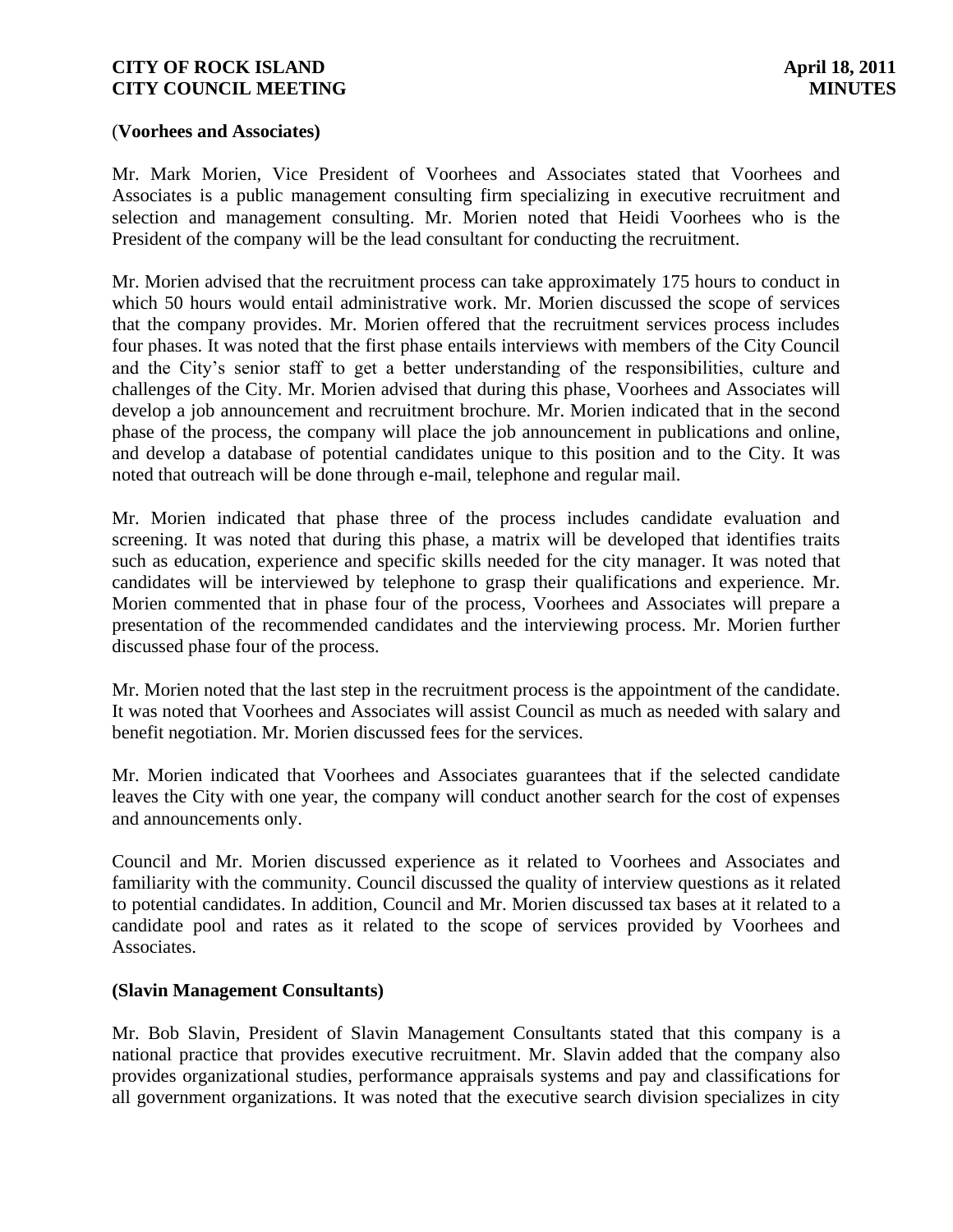#### (**Voorhees and Associates)**

Mr. Mark Morien, Vice President of Voorhees and Associates stated that Voorhees and Associates is a public management consulting firm specializing in executive recruitment and selection and management consulting. Mr. Morien noted that Heidi Voorhees who is the President of the company will be the lead consultant for conducting the recruitment.

Mr. Morien advised that the recruitment process can take approximately 175 hours to conduct in which 50 hours would entail administrative work. Mr. Morien discussed the scope of services that the company provides. Mr. Morien offered that the recruitment services process includes four phases. It was noted that the first phase entails interviews with members of the City Council and the City's senior staff to get a better understanding of the responsibilities, culture and challenges of the City. Mr. Morien advised that during this phase, Voorhees and Associates will develop a job announcement and recruitment brochure. Mr. Morien indicated that in the second phase of the process, the company will place the job announcement in publications and online, and develop a database of potential candidates unique to this position and to the City. It was noted that outreach will be done through e-mail, telephone and regular mail.

Mr. Morien indicated that phase three of the process includes candidate evaluation and screening. It was noted that during this phase, a matrix will be developed that identifies traits such as education, experience and specific skills needed for the city manager. It was noted that candidates will be interviewed by telephone to grasp their qualifications and experience. Mr. Morien commented that in phase four of the process, Voorhees and Associates will prepare a presentation of the recommended candidates and the interviewing process. Mr. Morien further discussed phase four of the process.

Mr. Morien noted that the last step in the recruitment process is the appointment of the candidate. It was noted that Voorhees and Associates will assist Council as much as needed with salary and benefit negotiation. Mr. Morien discussed fees for the services.

Mr. Morien indicated that Voorhees and Associates guarantees that if the selected candidate leaves the City with one year, the company will conduct another search for the cost of expenses and announcements only.

Council and Mr. Morien discussed experience as it related to Voorhees and Associates and familiarity with the community. Council discussed the quality of interview questions as it related to potential candidates. In addition, Council and Mr. Morien discussed tax bases at it related to a candidate pool and rates as it related to the scope of services provided by Voorhees and Associates.

### **(Slavin Management Consultants)**

Mr. Bob Slavin, President of Slavin Management Consultants stated that this company is a national practice that provides executive recruitment. Mr. Slavin added that the company also provides organizational studies, performance appraisals systems and pay and classifications for all government organizations. It was noted that the executive search division specializes in city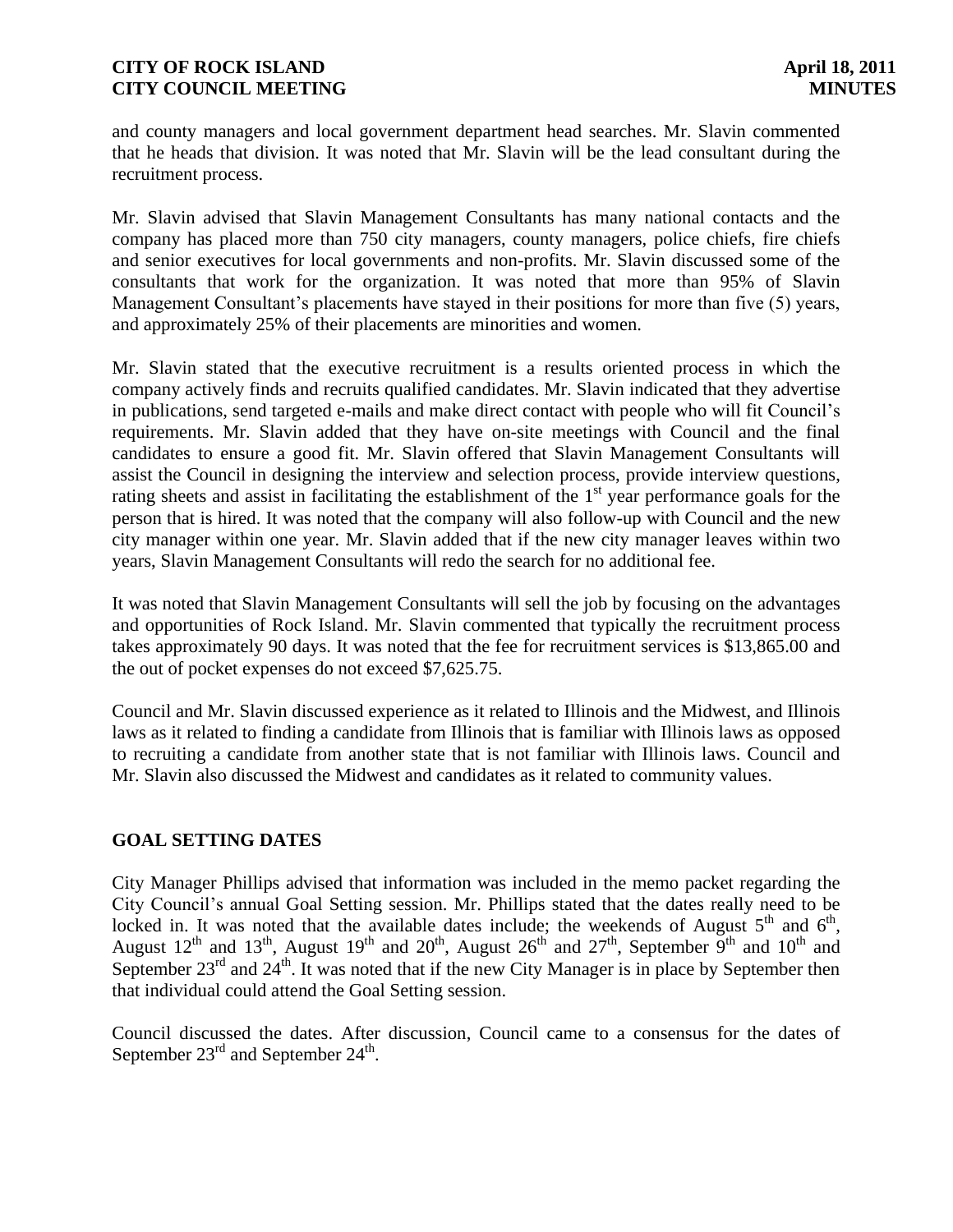and county managers and local government department head searches. Mr. Slavin commented that he heads that division. It was noted that Mr. Slavin will be the lead consultant during the recruitment process.

Mr. Slavin advised that Slavin Management Consultants has many national contacts and the company has placed more than 750 city managers, county managers, police chiefs, fire chiefs and senior executives for local governments and non-profits. Mr. Slavin discussed some of the consultants that work for the organization. It was noted that more than 95% of Slavin Management Consultant's placements have stayed in their positions for more than five (5) years, and approximately 25% of their placements are minorities and women.

Mr. Slavin stated that the executive recruitment is a results oriented process in which the company actively finds and recruits qualified candidates. Mr. Slavin indicated that they advertise in publications, send targeted e-mails and make direct contact with people who will fit Council's requirements. Mr. Slavin added that they have on-site meetings with Council and the final candidates to ensure a good fit. Mr. Slavin offered that Slavin Management Consultants will assist the Council in designing the interview and selection process, provide interview questions, rating sheets and assist in facilitating the establishment of the 1<sup>st</sup> year performance goals for the person that is hired. It was noted that the company will also follow-up with Council and the new city manager within one year. Mr. Slavin added that if the new city manager leaves within two years, Slavin Management Consultants will redo the search for no additional fee.

It was noted that Slavin Management Consultants will sell the job by focusing on the advantages and opportunities of Rock Island. Mr. Slavin commented that typically the recruitment process takes approximately 90 days. It was noted that the fee for recruitment services is \$13,865.00 and the out of pocket expenses do not exceed \$7,625.75.

Council and Mr. Slavin discussed experience as it related to Illinois and the Midwest, and Illinois laws as it related to finding a candidate from Illinois that is familiar with Illinois laws as opposed to recruiting a candidate from another state that is not familiar with Illinois laws. Council and Mr. Slavin also discussed the Midwest and candidates as it related to community values.

# **GOAL SETTING DATES**

City Manager Phillips advised that information was included in the memo packet regarding the City Council's annual Goal Setting session. Mr. Phillips stated that the dates really need to be locked in. It was noted that the available dates include; the weekends of August  $5<sup>th</sup>$  and  $6<sup>th</sup>$ , August 12<sup>th</sup> and 13<sup>th</sup>, August 19<sup>th</sup> and 20<sup>th</sup>, August 26<sup>th</sup> and 27<sup>th</sup>, September 9<sup>th</sup> and 10<sup>th</sup> and September  $23<sup>rd</sup>$  and  $24<sup>th</sup>$ . It was noted that if the new City Manager is in place by September then that individual could attend the Goal Setting session.

Council discussed the dates. After discussion, Council came to a consensus for the dates of September  $23^{\text{rd}}$  and September  $24^{\text{th}}$ .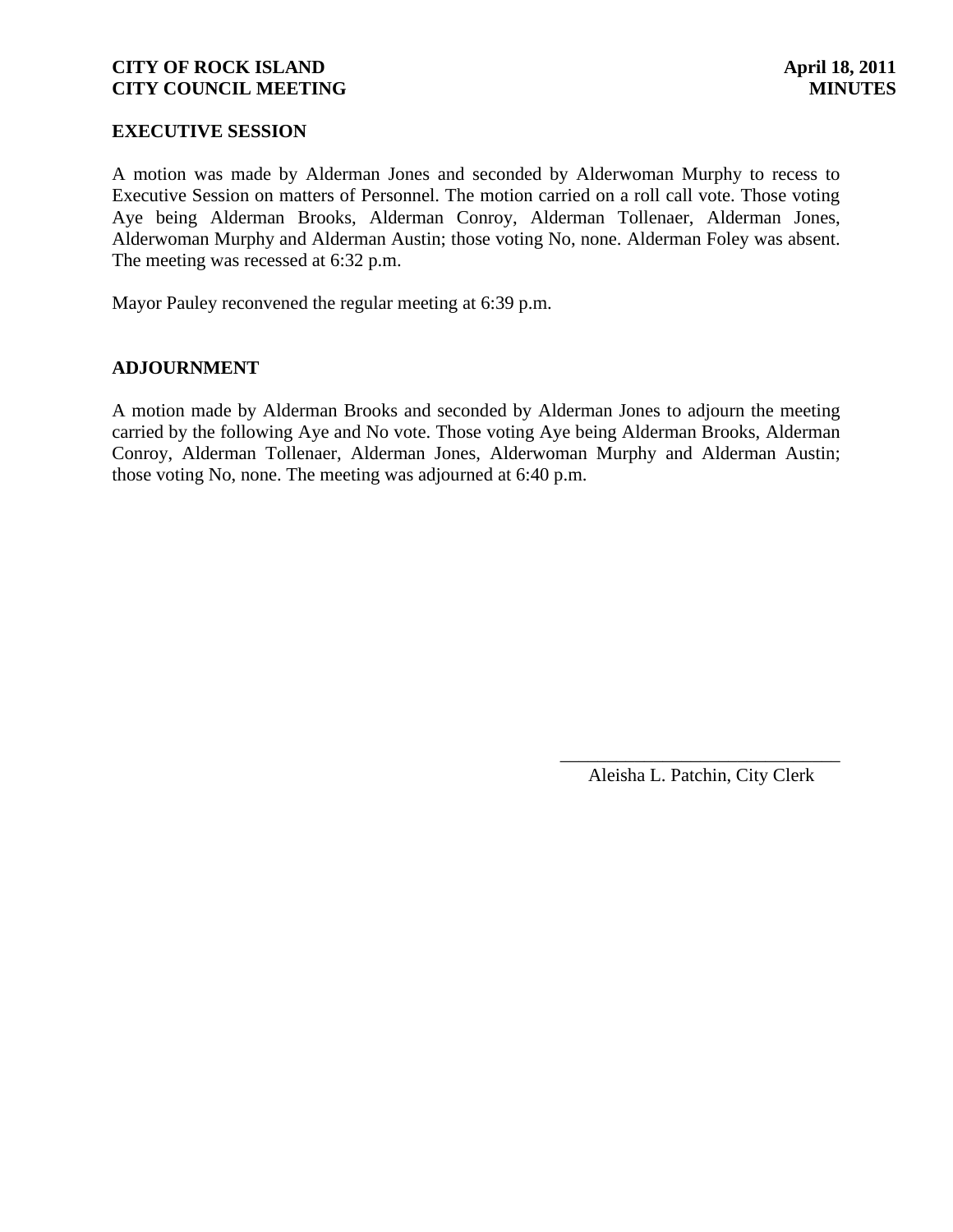### **EXECUTIVE SESSION**

A motion was made by Alderman Jones and seconded by Alderwoman Murphy to recess to Executive Session on matters of Personnel. The motion carried on a roll call vote. Those voting Aye being Alderman Brooks, Alderman Conroy, Alderman Tollenaer, Alderman Jones, Alderwoman Murphy and Alderman Austin; those voting No, none. Alderman Foley was absent. The meeting was recessed at 6:32 p.m.

Mayor Pauley reconvened the regular meeting at 6:39 p.m.

### **ADJOURNMENT**

A motion made by Alderman Brooks and seconded by Alderman Jones to adjourn the meeting carried by the following Aye and No vote. Those voting Aye being Alderman Brooks, Alderman Conroy, Alderman Tollenaer, Alderman Jones, Alderwoman Murphy and Alderman Austin; those voting No, none. The meeting was adjourned at 6:40 p.m.

> \_\_\_\_\_\_\_\_\_\_\_\_\_\_\_\_\_\_\_\_\_\_\_\_\_\_\_\_\_\_ Aleisha L. Patchin, City Clerk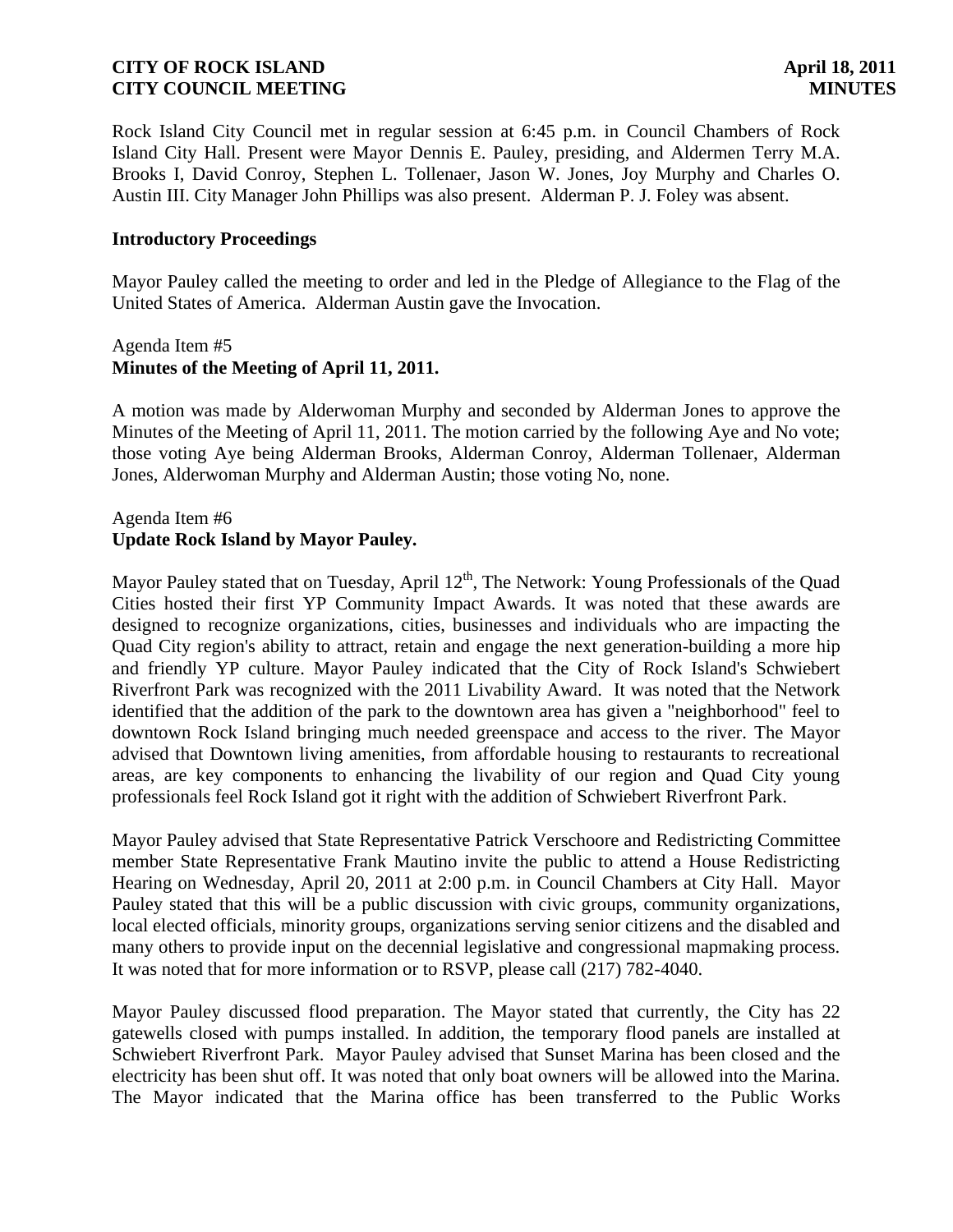Rock Island City Council met in regular session at 6:45 p.m. in Council Chambers of Rock Island City Hall. Present were Mayor Dennis E. Pauley, presiding, and Aldermen Terry M.A. Brooks I, David Conroy, Stephen L. Tollenaer, Jason W. Jones, Joy Murphy and Charles O. Austin III. City Manager John Phillips was also present. Alderman P. J. Foley was absent.

### **Introductory Proceedings**

Mayor Pauley called the meeting to order and led in the Pledge of Allegiance to the Flag of the United States of America. Alderman Austin gave the Invocation.

### Agenda Item #5 **Minutes of the Meeting of April 11, 2011.**

A motion was made by Alderwoman Murphy and seconded by Alderman Jones to approve the Minutes of the Meeting of April 11, 2011. The motion carried by the following Aye and No vote; those voting Aye being Alderman Brooks, Alderman Conroy, Alderman Tollenaer, Alderman Jones, Alderwoman Murphy and Alderman Austin; those voting No, none.

# Agenda Item #6 **Update Rock Island by Mayor Pauley.**

Mayor Pauley stated that on Tuesday, April  $12<sup>th</sup>$ , The Network: Young Professionals of the Quad Cities hosted their first YP Community Impact Awards. It was noted that these awards are designed to recognize organizations, cities, businesses and individuals who are impacting the Quad City region's ability to attract, retain and engage the next generation-building a more hip and friendly YP culture. Mayor Pauley indicated that the City of Rock Island's Schwiebert Riverfront Park was recognized with the 2011 Livability Award. It was noted that the Network identified that the addition of the park to the downtown area has given a "neighborhood" feel to downtown Rock Island bringing much needed greenspace and access to the river. The Mayor advised that Downtown living amenities, from affordable housing to restaurants to recreational areas, are key components to enhancing the livability of our region and Quad City young professionals feel Rock Island got it right with the addition of Schwiebert Riverfront Park.

Mayor Pauley advised that State Representative Patrick Verschoore and Redistricting Committee member State Representative Frank Mautino invite the public to attend a House Redistricting Hearing on Wednesday, April 20, 2011 at 2:00 p.m. in Council Chambers at City Hall. Mayor Pauley stated that this will be a public discussion with civic groups, community organizations, local elected officials, minority groups, organizations serving senior citizens and the disabled and many others to provide input on the decennial legislative and congressional mapmaking process. It was noted that for more information or to RSVP, please call (217) 782-4040.

Mayor Pauley discussed flood preparation. The Mayor stated that currently, the City has 22 gatewells closed with pumps installed. In addition, the temporary flood panels are installed at Schwiebert Riverfront Park. Mayor Pauley advised that Sunset Marina has been closed and the electricity has been shut off. It was noted that only boat owners will be allowed into the Marina. The Mayor indicated that the Marina office has been transferred to the Public Works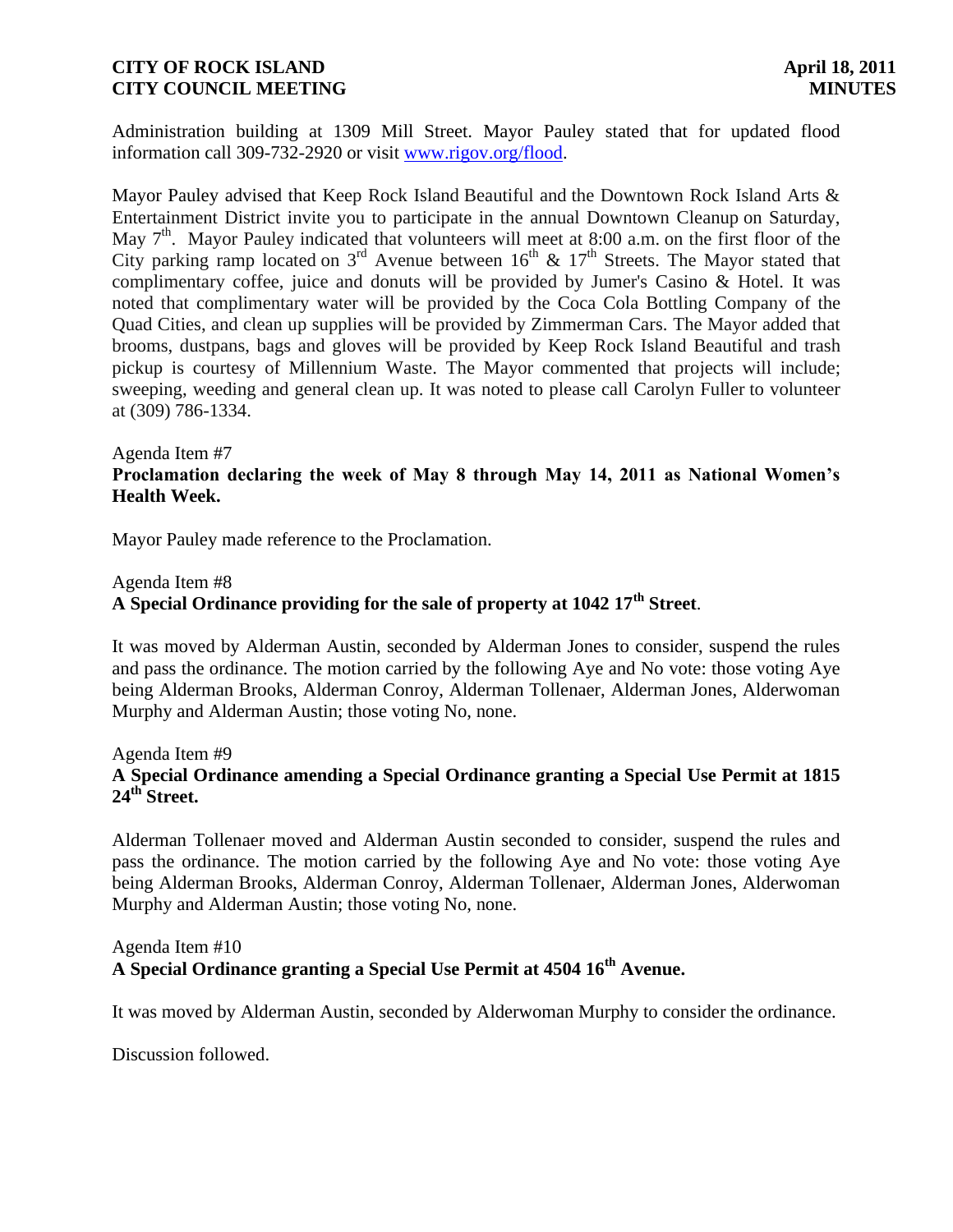Administration building at 1309 Mill Street. Mayor Pauley stated that for updated flood information call 309-732-2920 or visit [www.rigov.org/flood.](http://www.rigov.org/flood)

Mayor Pauley advised that Keep Rock Island Beautiful and the Downtown Rock Island Arts & Entertainment District invite you to participate in the annual Downtown Cleanup on Saturday, May 7<sup>th</sup>. Mayor Pauley indicated that volunteers will meet at 8:00 a.m. on the first floor of the City parking ramp located on  $3^{rd}$  Avenue between  $16^{th}$  &  $17^{th}$  Streets. The Mayor stated that complimentary coffee, juice and donuts will be provided by Jumer's Casino & Hotel. It was noted that complimentary water will be provided by the Coca Cola Bottling Company of the Quad Cities, and clean up supplies will be provided by Zimmerman Cars. The Mayor added that brooms, dustpans, bags and gloves will be provided by Keep Rock Island Beautiful and trash pickup is courtesy of Millennium Waste. The Mayor commented that projects will include; sweeping, weeding and general clean up. It was noted to please call Carolyn Fuller to volunteer at (309) 786-1334.

#### Agenda Item #7

# **Proclamation declaring the week of May 8 through May 14, 2011 as National Women's Health Week.**

Mayor Pauley made reference to the Proclamation.

#### Agenda Item #8

# **A Special Ordinance providing for the sale of property at 1042 17th Street**.

It was moved by Alderman Austin, seconded by Alderman Jones to consider, suspend the rules and pass the ordinance. The motion carried by the following Aye and No vote: those voting Aye being Alderman Brooks, Alderman Conroy, Alderman Tollenaer, Alderman Jones, Alderwoman Murphy and Alderman Austin; those voting No, none.

### Agenda Item #9 **A Special Ordinance amending a Special Ordinance granting a Special Use Permit at 1815 24th Street.**

Alderman Tollenaer moved and Alderman Austin seconded to consider, suspend the rules and pass the ordinance. The motion carried by the following Aye and No vote: those voting Aye being Alderman Brooks, Alderman Conroy, Alderman Tollenaer, Alderman Jones, Alderwoman Murphy and Alderman Austin; those voting No, none.

### Agenda Item #10 **A Special Ordinance granting a Special Use Permit at 4504 16th Avenue.**

It was moved by Alderman Austin, seconded by Alderwoman Murphy to consider the ordinance.

Discussion followed.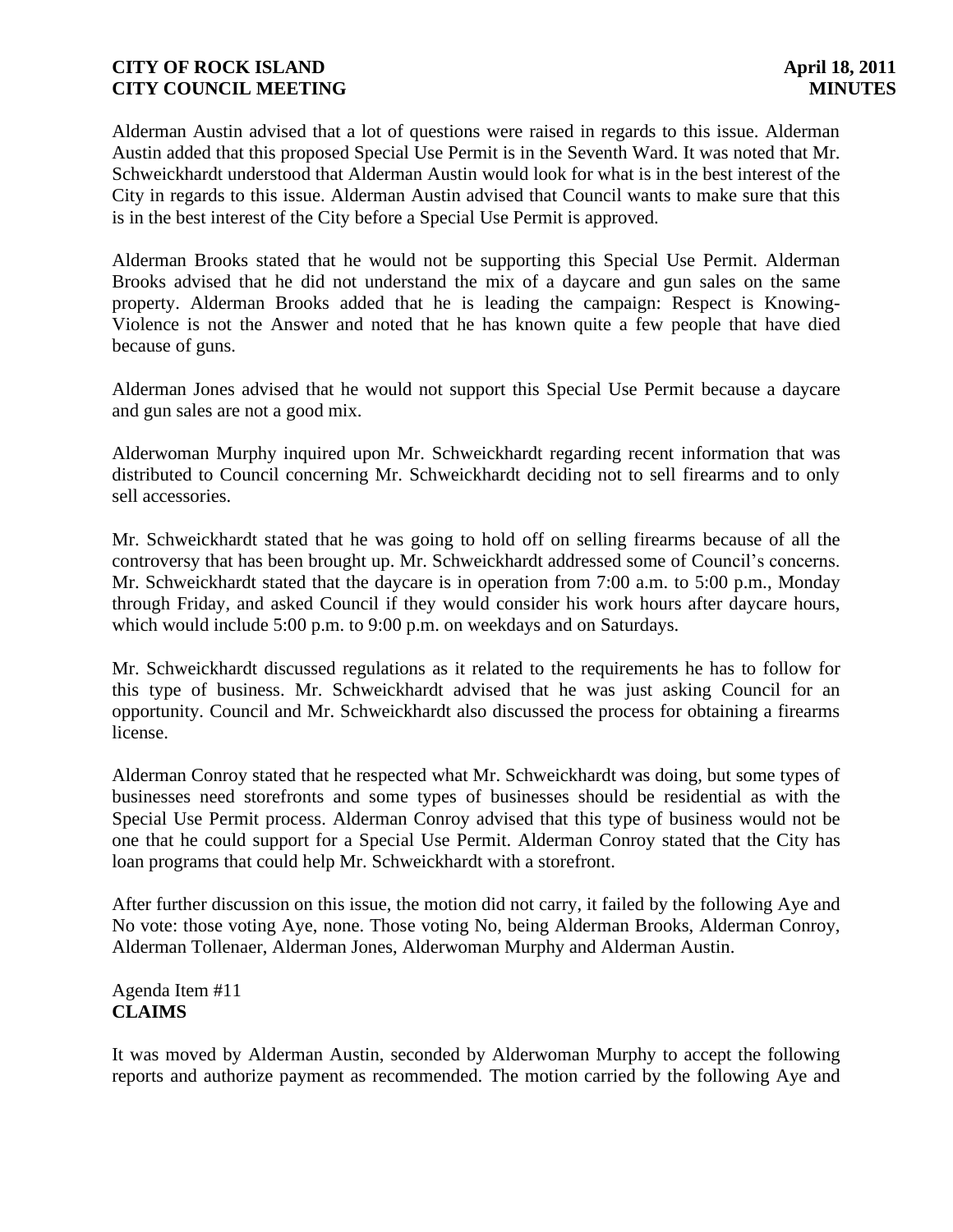Alderman Austin advised that a lot of questions were raised in regards to this issue. Alderman Austin added that this proposed Special Use Permit is in the Seventh Ward. It was noted that Mr. Schweickhardt understood that Alderman Austin would look for what is in the best interest of the City in regards to this issue. Alderman Austin advised that Council wants to make sure that this is in the best interest of the City before a Special Use Permit is approved.

Alderman Brooks stated that he would not be supporting this Special Use Permit. Alderman Brooks advised that he did not understand the mix of a daycare and gun sales on the same property. Alderman Brooks added that he is leading the campaign: Respect is Knowing-Violence is not the Answer and noted that he has known quite a few people that have died because of guns.

Alderman Jones advised that he would not support this Special Use Permit because a daycare and gun sales are not a good mix.

Alderwoman Murphy inquired upon Mr. Schweickhardt regarding recent information that was distributed to Council concerning Mr. Schweickhardt deciding not to sell firearms and to only sell accessories.

Mr. Schweickhardt stated that he was going to hold off on selling firearms because of all the controversy that has been brought up. Mr. Schweickhardt addressed some of Council's concerns. Mr. Schweickhardt stated that the daycare is in operation from 7:00 a.m. to 5:00 p.m., Monday through Friday, and asked Council if they would consider his work hours after daycare hours, which would include 5:00 p.m. to 9:00 p.m. on weekdays and on Saturdays.

Mr. Schweickhardt discussed regulations as it related to the requirements he has to follow for this type of business. Mr. Schweickhardt advised that he was just asking Council for an opportunity. Council and Mr. Schweickhardt also discussed the process for obtaining a firearms license.

Alderman Conroy stated that he respected what Mr. Schweickhardt was doing, but some types of businesses need storefronts and some types of businesses should be residential as with the Special Use Permit process. Alderman Conroy advised that this type of business would not be one that he could support for a Special Use Permit. Alderman Conroy stated that the City has loan programs that could help Mr. Schweickhardt with a storefront.

After further discussion on this issue, the motion did not carry, it failed by the following Aye and No vote: those voting Aye, none. Those voting No, being Alderman Brooks, Alderman Conroy, Alderman Tollenaer, Alderman Jones, Alderwoman Murphy and Alderman Austin.

Agenda Item #11 **CLAIMS**

It was moved by Alderman Austin, seconded by Alderwoman Murphy to accept the following reports and authorize payment as recommended. The motion carried by the following Aye and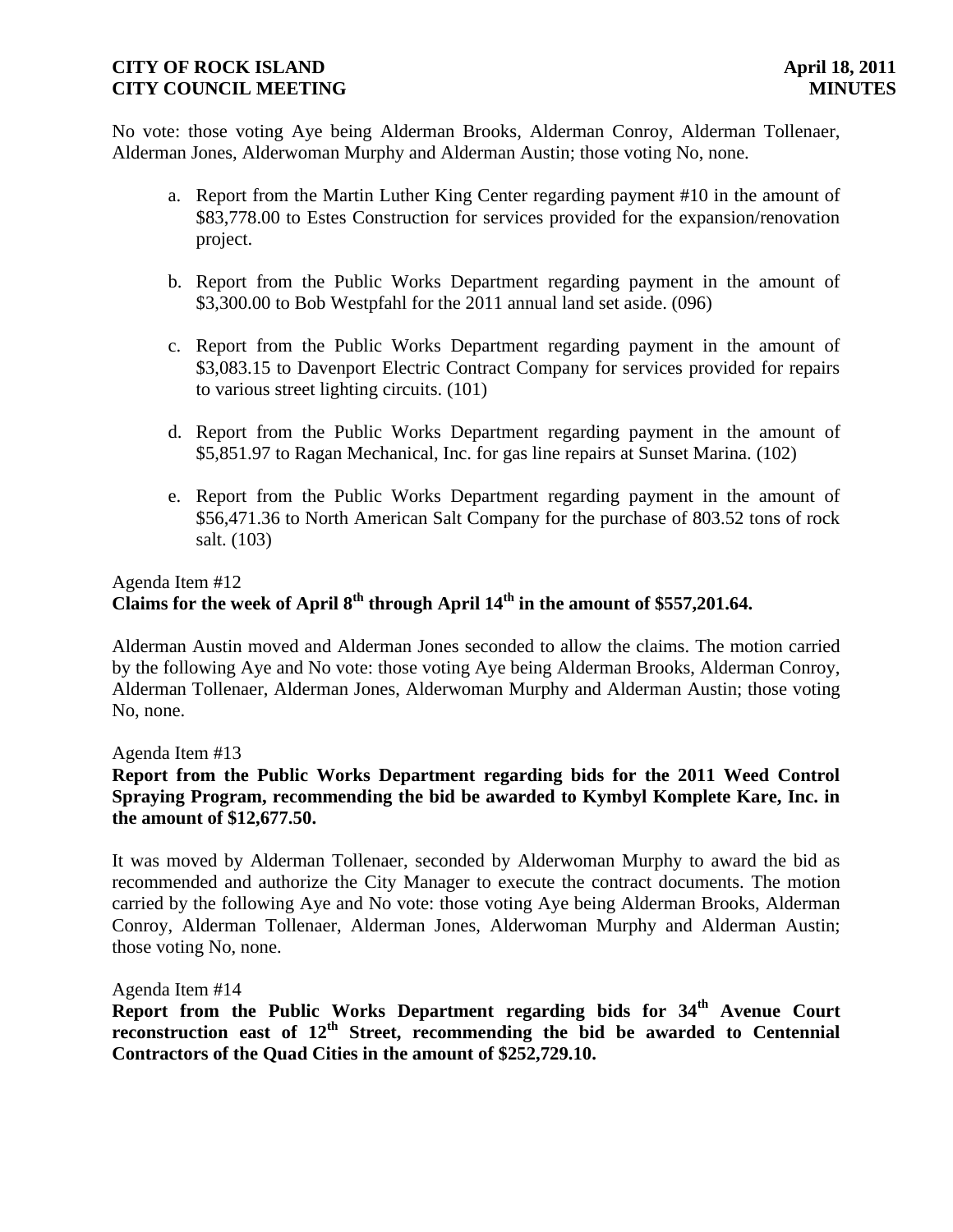No vote: those voting Aye being Alderman Brooks, Alderman Conroy, Alderman Tollenaer, Alderman Jones, Alderwoman Murphy and Alderman Austin; those voting No, none.

- a. Report from the Martin Luther King Center regarding payment #10 in the amount of \$83,778.00 to Estes Construction for services provided for the expansion/renovation project.
- b. Report from the Public Works Department regarding payment in the amount of \$3,300.00 to Bob Westpfahl for the 2011 annual land set aside. (096)
- c. Report from the Public Works Department regarding payment in the amount of \$3,083.15 to Davenport Electric Contract Company for services provided for repairs to various street lighting circuits. (101)
- d. Report from the Public Works Department regarding payment in the amount of \$5,851.97 to Ragan Mechanical, Inc. for gas line repairs at Sunset Marina. (102)
- e. Report from the Public Works Department regarding payment in the amount of \$56,471.36 to North American Salt Company for the purchase of 803.52 tons of rock salt. (103)

# Agenda Item #12 **Claims for the week of April 8th through April 14th in the amount of \$557,201.64.**

Alderman Austin moved and Alderman Jones seconded to allow the claims. The motion carried by the following Aye and No vote: those voting Aye being Alderman Brooks, Alderman Conroy, Alderman Tollenaer, Alderman Jones, Alderwoman Murphy and Alderman Austin; those voting No, none.

Agenda Item #13

# **Report from the Public Works Department regarding bids for the 2011 Weed Control Spraying Program, recommending the bid be awarded to Kymbyl Komplete Kare, Inc. in the amount of \$12,677.50.**

It was moved by Alderman Tollenaer, seconded by Alderwoman Murphy to award the bid as recommended and authorize the City Manager to execute the contract documents. The motion carried by the following Aye and No vote: those voting Aye being Alderman Brooks, Alderman Conroy, Alderman Tollenaer, Alderman Jones, Alderwoman Murphy and Alderman Austin; those voting No, none.

#### Agenda Item #14

**Report from the Public Works Department regarding bids for 34th Avenue Court reconstruction east of 12th Street, recommending the bid be awarded to Centennial Contractors of the Quad Cities in the amount of \$252,729.10.**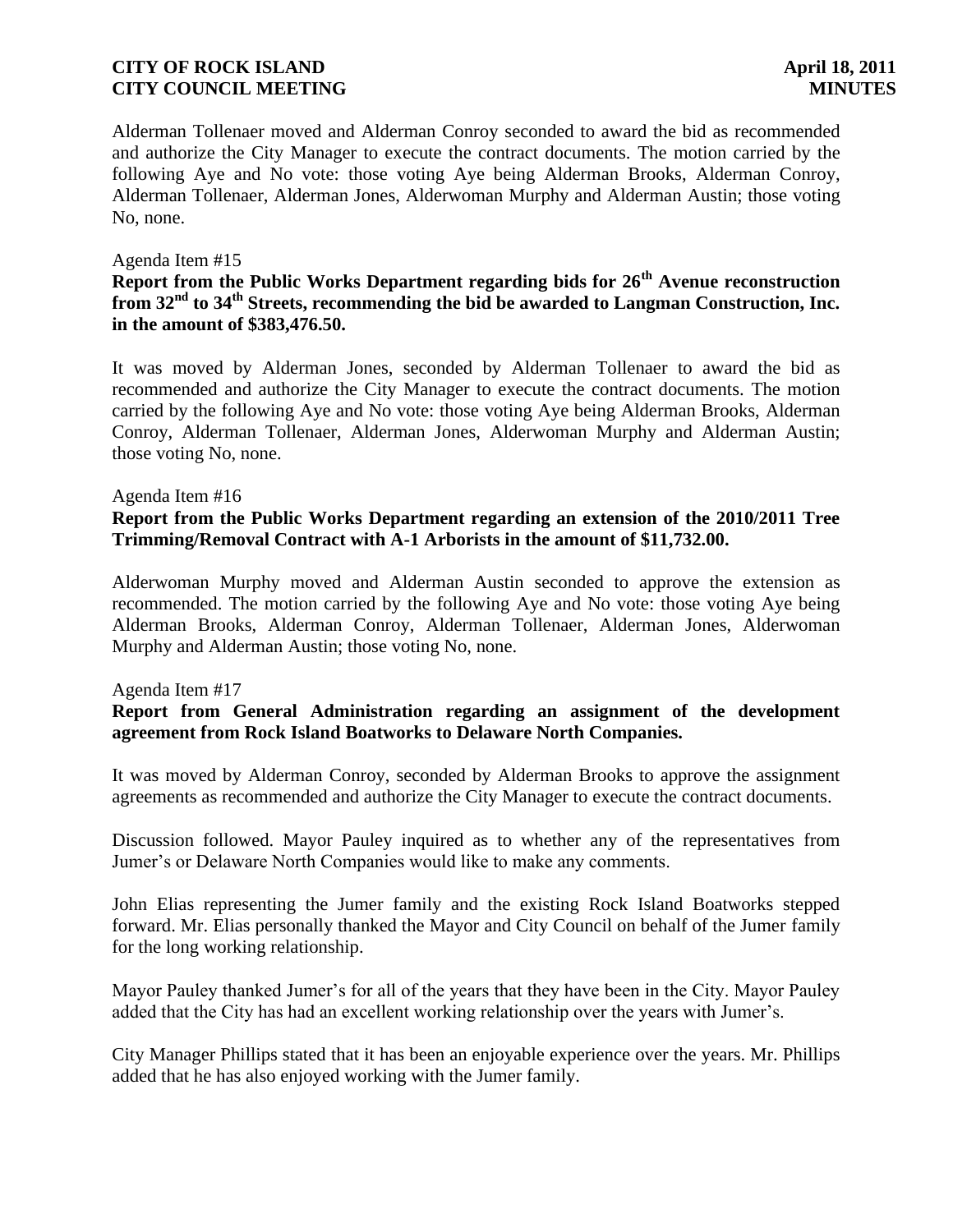Alderman Tollenaer moved and Alderman Conroy seconded to award the bid as recommended and authorize the City Manager to execute the contract documents. The motion carried by the following Aye and No vote: those voting Aye being Alderman Brooks, Alderman Conroy, Alderman Tollenaer, Alderman Jones, Alderwoman Murphy and Alderman Austin; those voting No, none.

### Agenda Item #15

# **Report from the Public Works Department regarding bids for 26th Avenue reconstruction from 32nd to 34th Streets, recommending the bid be awarded to Langman Construction, Inc. in the amount of \$383,476.50.**

It was moved by Alderman Jones, seconded by Alderman Tollenaer to award the bid as recommended and authorize the City Manager to execute the contract documents. The motion carried by the following Aye and No vote: those voting Aye being Alderman Brooks, Alderman Conroy, Alderman Tollenaer, Alderman Jones, Alderwoman Murphy and Alderman Austin; those voting No, none.

#### Agenda Item #16

# **Report from the Public Works Department regarding an extension of the 2010/2011 Tree Trimming/Removal Contract with A-1 Arborists in the amount of \$11,732.00.**

Alderwoman Murphy moved and Alderman Austin seconded to approve the extension as recommended. The motion carried by the following Aye and No vote: those voting Aye being Alderman Brooks, Alderman Conroy, Alderman Tollenaer, Alderman Jones, Alderwoman Murphy and Alderman Austin; those voting No, none.

#### Agenda Item #17

### **Report from General Administration regarding an assignment of the development agreement from Rock Island Boatworks to Delaware North Companies.**

It was moved by Alderman Conroy, seconded by Alderman Brooks to approve the assignment agreements as recommended and authorize the City Manager to execute the contract documents.

Discussion followed. Mayor Pauley inquired as to whether any of the representatives from Jumer's or Delaware North Companies would like to make any comments.

John Elias representing the Jumer family and the existing Rock Island Boatworks stepped forward. Mr. Elias personally thanked the Mayor and City Council on behalf of the Jumer family for the long working relationship.

Mayor Pauley thanked Jumer's for all of the years that they have been in the City. Mayor Pauley added that the City has had an excellent working relationship over the years with Jumer's.

City Manager Phillips stated that it has been an enjoyable experience over the years. Mr. Phillips added that he has also enjoyed working with the Jumer family.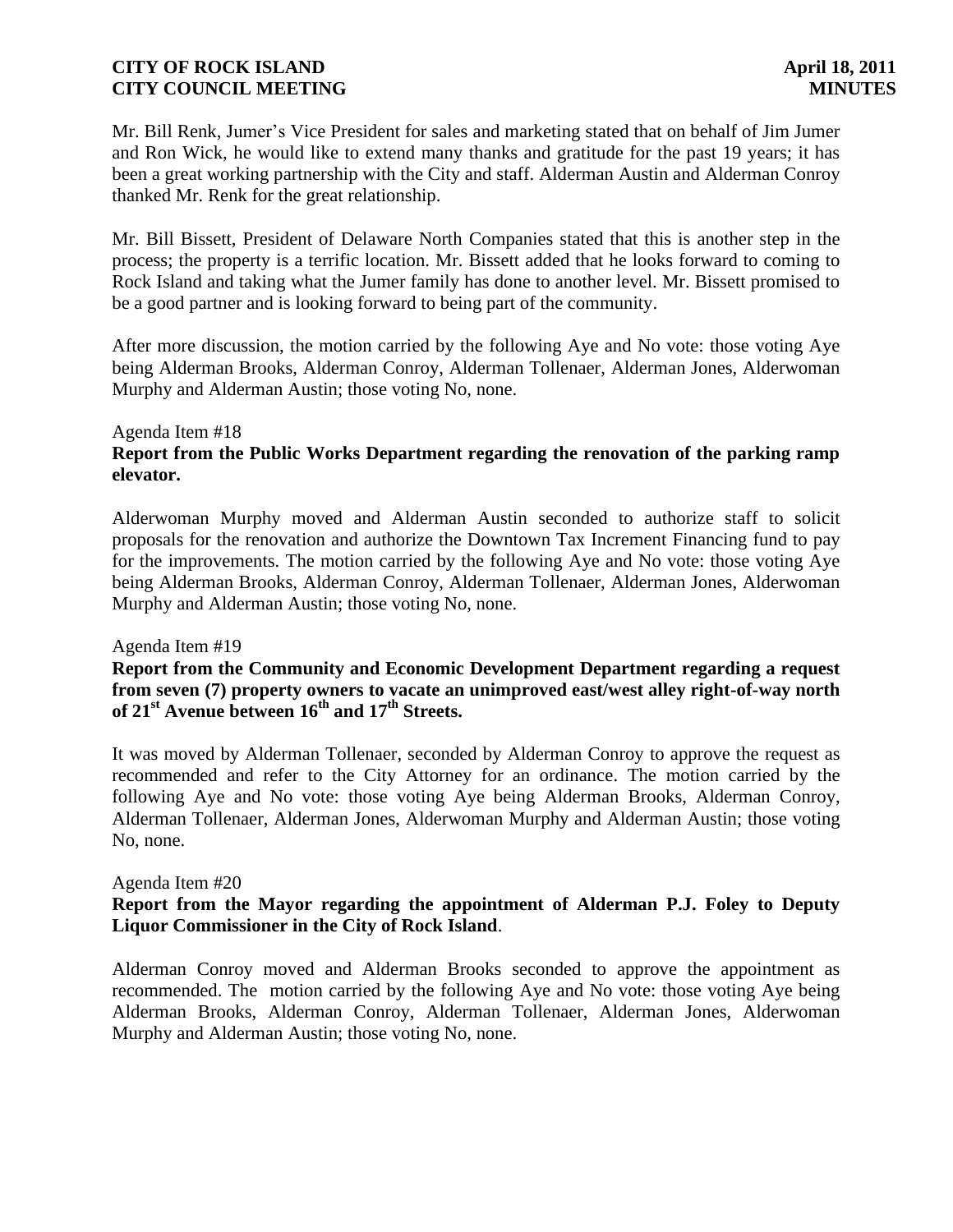Mr. Bill Renk, Jumer's Vice President for sales and marketing stated that on behalf of Jim Jumer and Ron Wick, he would like to extend many thanks and gratitude for the past 19 years; it has been a great working partnership with the City and staff. Alderman Austin and Alderman Conroy thanked Mr. Renk for the great relationship.

Mr. Bill Bissett, President of Delaware North Companies stated that this is another step in the process; the property is a terrific location. Mr. Bissett added that he looks forward to coming to Rock Island and taking what the Jumer family has done to another level. Mr. Bissett promised to be a good partner and is looking forward to being part of the community.

After more discussion, the motion carried by the following Aye and No vote: those voting Aye being Alderman Brooks, Alderman Conroy, Alderman Tollenaer, Alderman Jones, Alderwoman Murphy and Alderman Austin; those voting No, none.

#### Agenda Item #18 **Report from the Public Works Department regarding the renovation of the parking ramp elevator.**

Alderwoman Murphy moved and Alderman Austin seconded to authorize staff to solicit proposals for the renovation and authorize the Downtown Tax Increment Financing fund to pay for the improvements. The motion carried by the following Aye and No vote: those voting Aye being Alderman Brooks, Alderman Conroy, Alderman Tollenaer, Alderman Jones, Alderwoman Murphy and Alderman Austin; those voting No, none.

Agenda Item #19

# **Report from the Community and Economic Development Department regarding a request from seven (7) property owners to vacate an unimproved east/west alley right-of-way north of 21st Avenue between 16th and 17th Streets.**

It was moved by Alderman Tollenaer, seconded by Alderman Conroy to approve the request as recommended and refer to the City Attorney for an ordinance. The motion carried by the following Aye and No vote: those voting Aye being Alderman Brooks, Alderman Conroy, Alderman Tollenaer, Alderman Jones, Alderwoman Murphy and Alderman Austin; those voting No, none.

### Agenda Item #20

# **Report from the Mayor regarding the appointment of Alderman P.J. Foley to Deputy Liquor Commissioner in the City of Rock Island**.

Alderman Conroy moved and Alderman Brooks seconded to approve the appointment as recommended. The motion carried by the following Aye and No vote: those voting Aye being Alderman Brooks, Alderman Conroy, Alderman Tollenaer, Alderman Jones, Alderwoman Murphy and Alderman Austin; those voting No, none.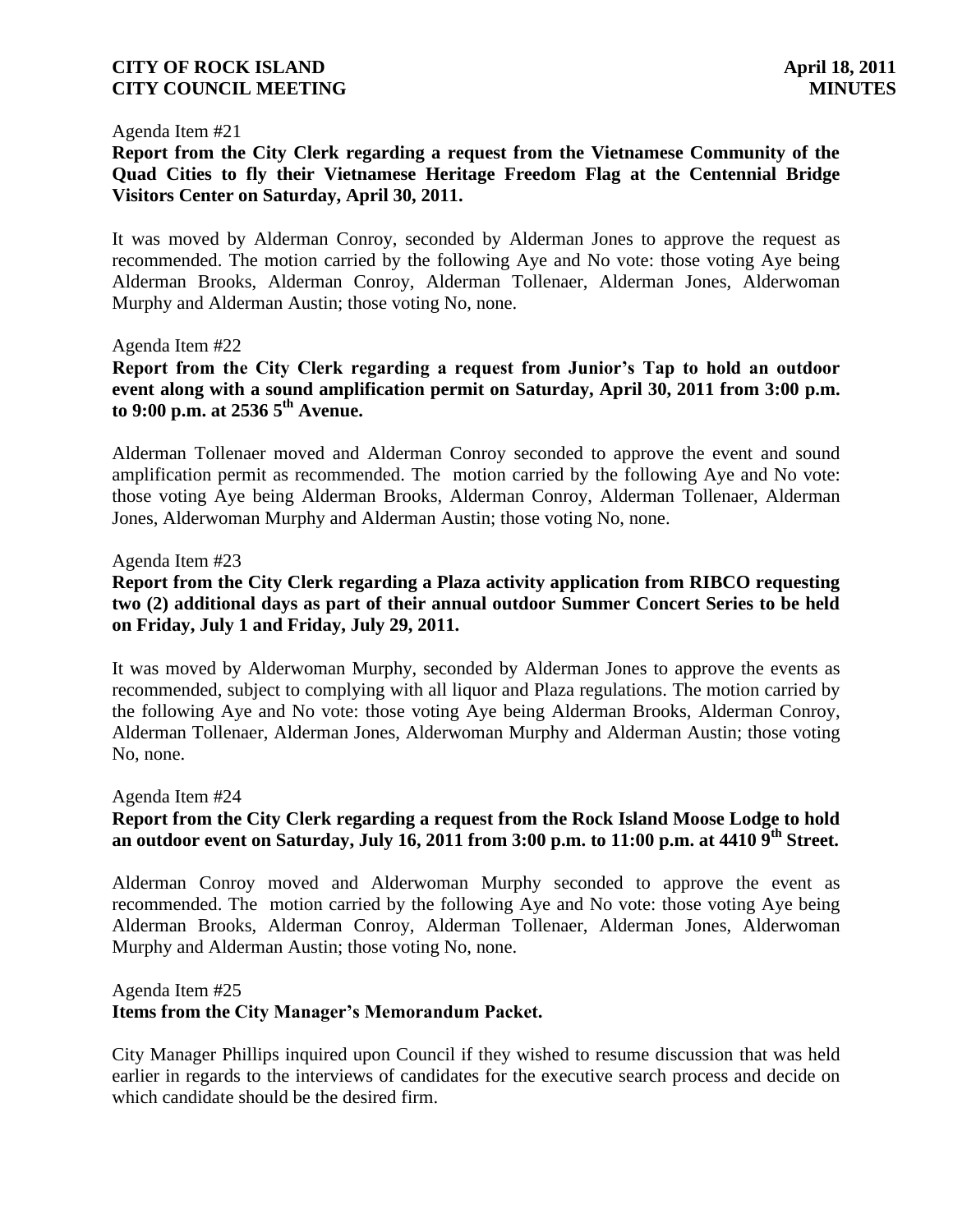#### Agenda Item #21

**Report from the City Clerk regarding a request from the Vietnamese Community of the Quad Cities to fly their Vietnamese Heritage Freedom Flag at the Centennial Bridge Visitors Center on Saturday, April 30, 2011.**

It was moved by Alderman Conroy, seconded by Alderman Jones to approve the request as recommended. The motion carried by the following Aye and No vote: those voting Aye being Alderman Brooks, Alderman Conroy, Alderman Tollenaer, Alderman Jones, Alderwoman Murphy and Alderman Austin; those voting No, none.

### Agenda Item #22

**Report from the City Clerk regarding a request from Junior's Tap to hold an outdoor event along with a sound amplification permit on Saturday, April 30, 2011 from 3:00 p.m. to 9:00 p.m. at 2536 5th Avenue.**

Alderman Tollenaer moved and Alderman Conroy seconded to approve the event and sound amplification permit as recommended. The motion carried by the following Aye and No vote: those voting Aye being Alderman Brooks, Alderman Conroy, Alderman Tollenaer, Alderman Jones, Alderwoman Murphy and Alderman Austin; those voting No, none.

### Agenda Item #23

**Report from the City Clerk regarding a Plaza activity application from RIBCO requesting two (2) additional days as part of their annual outdoor Summer Concert Series to be held on Friday, July 1 and Friday, July 29, 2011.**

It was moved by Alderwoman Murphy, seconded by Alderman Jones to approve the events as recommended, subject to complying with all liquor and Plaza regulations. The motion carried by the following Aye and No vote: those voting Aye being Alderman Brooks, Alderman Conroy, Alderman Tollenaer, Alderman Jones, Alderwoman Murphy and Alderman Austin; those voting No, none.

#### Agenda Item #24

# **Report from the City Clerk regarding a request from the Rock Island Moose Lodge to hold an outdoor event on Saturday, July 16, 2011 from 3:00 p.m. to 11:00 p.m. at 4410 9th Street.**

Alderman Conroy moved and Alderwoman Murphy seconded to approve the event as recommended. The motion carried by the following Aye and No vote: those voting Aye being Alderman Brooks, Alderman Conroy, Alderman Tollenaer, Alderman Jones, Alderwoman Murphy and Alderman Austin; those voting No, none.

#### Agenda Item #25

### **Items from the City Manager's Memorandum Packet.**

City Manager Phillips inquired upon Council if they wished to resume discussion that was held earlier in regards to the interviews of candidates for the executive search process and decide on which candidate should be the desired firm.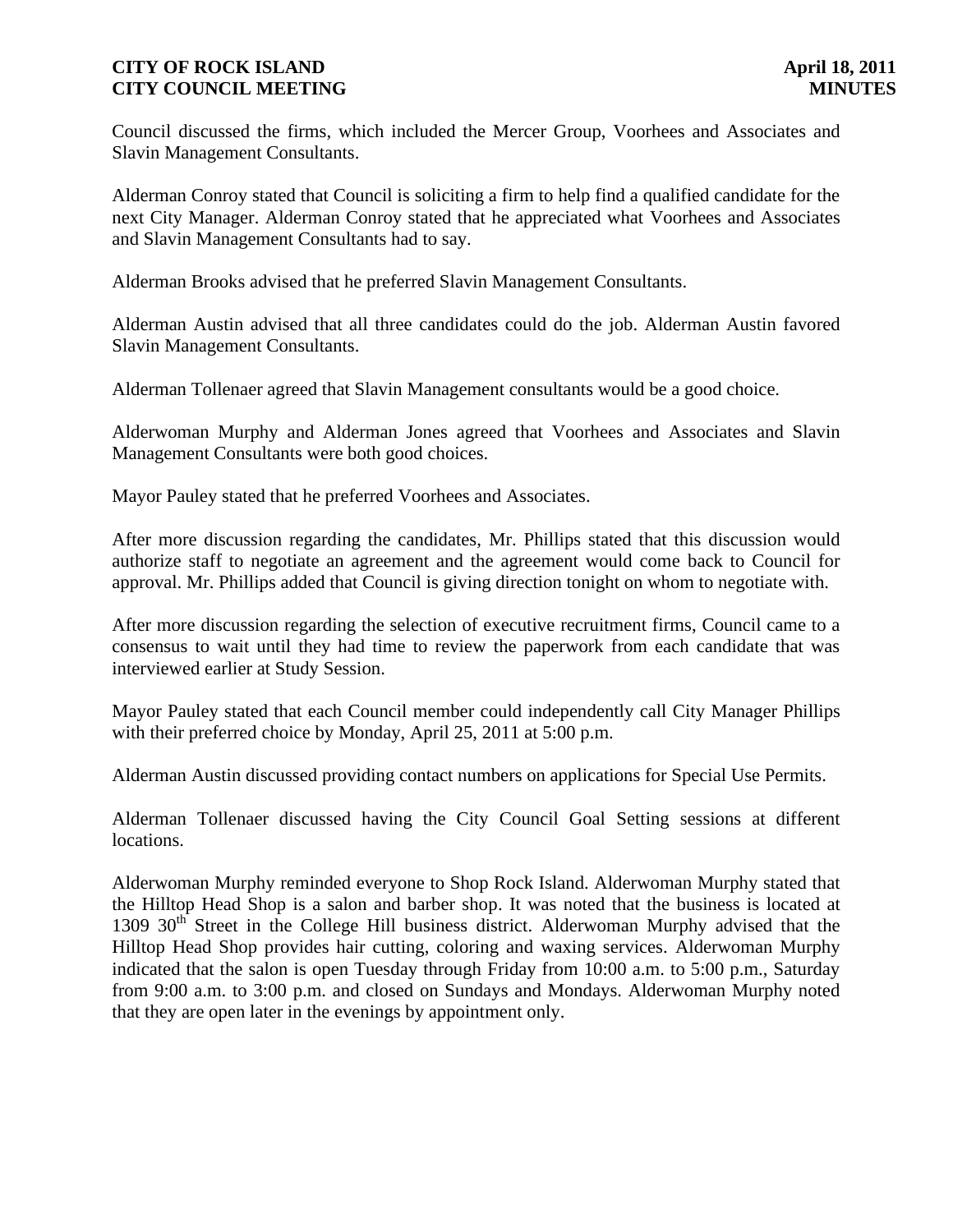Council discussed the firms, which included the Mercer Group, Voorhees and Associates and Slavin Management Consultants.

Alderman Conroy stated that Council is soliciting a firm to help find a qualified candidate for the next City Manager. Alderman Conroy stated that he appreciated what Voorhees and Associates and Slavin Management Consultants had to say.

Alderman Brooks advised that he preferred Slavin Management Consultants.

Alderman Austin advised that all three candidates could do the job. Alderman Austin favored Slavin Management Consultants.

Alderman Tollenaer agreed that Slavin Management consultants would be a good choice.

Alderwoman Murphy and Alderman Jones agreed that Voorhees and Associates and Slavin Management Consultants were both good choices.

Mayor Pauley stated that he preferred Voorhees and Associates.

After more discussion regarding the candidates, Mr. Phillips stated that this discussion would authorize staff to negotiate an agreement and the agreement would come back to Council for approval. Mr. Phillips added that Council is giving direction tonight on whom to negotiate with.

After more discussion regarding the selection of executive recruitment firms, Council came to a consensus to wait until they had time to review the paperwork from each candidate that was interviewed earlier at Study Session.

Mayor Pauley stated that each Council member could independently call City Manager Phillips with their preferred choice by Monday, April 25, 2011 at 5:00 p.m.

Alderman Austin discussed providing contact numbers on applications for Special Use Permits.

Alderman Tollenaer discussed having the City Council Goal Setting sessions at different locations.

Alderwoman Murphy reminded everyone to Shop Rock Island. Alderwoman Murphy stated that the Hilltop Head Shop is a salon and barber shop. It was noted that the business is located at 1309 30<sup>th</sup> Street in the College Hill business district. Alderwoman Murphy advised that the Hilltop Head Shop provides hair cutting, coloring and waxing services. Alderwoman Murphy indicated that the salon is open Tuesday through Friday from 10:00 a.m. to 5:00 p.m., Saturday from 9:00 a.m. to 3:00 p.m. and closed on Sundays and Mondays. Alderwoman Murphy noted that they are open later in the evenings by appointment only.